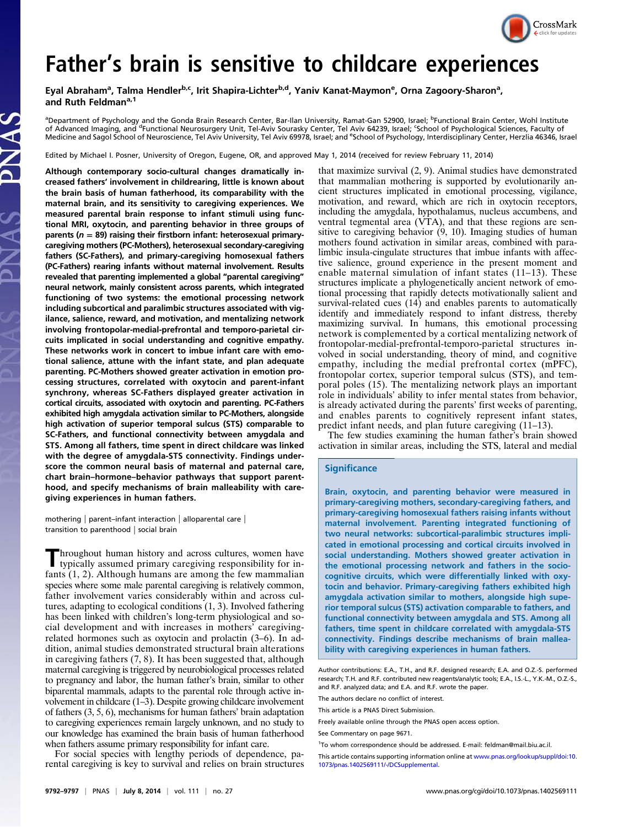

# Father's brain is sensitive to childcare experiences

Eyal Abraham<sup>a</sup>, Talma Hendler<sup>b,c</sup>, Irit Shapira-Lichter<sup>b,d</sup>, Yaniv Kanat-Maymon<sup>e</sup>, Orna Zagoory-Sharon<sup>a</sup>, and Ruth Feldman<sup>a,1</sup>

<sup>a</sup>Department of Psychology and the Gonda Brain Research Center, Bar-Ilan University, Ramat-Gan 52900, Israel; <sup>b</sup>Functional Brain Center, Wohl Institute of Advanced Imaging, and <sup>d</sup>Functional Neurosurgery Unit, Tel-Aviv Sourasky Center, Tel Aviv 64239, Israel; <sup>c</sup>School of Psychological Sciences, Faculty of Medicine and Sagol School of Neuroscience, Tel Aviv University, Tel Aviv 69978, Israel; and <sup>e</sup>School of Psychology, Interdisciplinary Center, Herzlia 46346, Israel

Edited by Michael I. Posner, University of Oregon, Eugene, OR, and approved May 1, 2014 (received for review February 11, 2014)

Although contemporary socio-cultural changes dramatically increased fathers' involvement in childrearing, little is known about the brain basis of human fatherhood, its comparability with the maternal brain, and its sensitivity to caregiving experiences. We measured parental brain response to infant stimuli using functional MRI, oxytocin, and parenting behavior in three groups of parents ( $n = 89$ ) raising their firstborn infant: heterosexual primarycaregiving mothers (PC-Mothers), heterosexual secondary-caregiving fathers (SC-Fathers), and primary-caregiving homosexual fathers (PC-Fathers) rearing infants without maternal involvement. Results revealed that parenting implemented a global "parental caregiving" neural network, mainly consistent across parents, which integrated functioning of two systems: the emotional processing network including subcortical and paralimbic structures associated with vigilance, salience, reward, and motivation, and mentalizing network involving frontopolar-medial-prefrontal and temporo-parietal circuits implicated in social understanding and cognitive empathy. These networks work in concert to imbue infant care with emotional salience, attune with the infant state, and plan adequate parenting. PC-Mothers showed greater activation in emotion processing structures, correlated with oxytocin and parent-infant synchrony, whereas SC-Fathers displayed greater activation in cortical circuits, associated with oxytocin and parenting. PC-Fathers exhibited high amygdala activation similar to PC-Mothers, alongside high activation of superior temporal sulcus (STS) comparable to SC-Fathers, and functional connectivity between amygdala and STS. Among all fathers, time spent in direct childcare was linked with the degree of amygdala-STS connectivity. Findings underscore the common neural basis of maternal and paternal care, chart brain–hormone–behavior pathways that support parenthood, and specify mechanisms of brain malleability with caregiving experiences in human fathers.

mothering | parent–infant interaction | alloparental care | transition to parenthood | social brain

Throughout human history and across cultures, women have typically assumed primary caregiving responsibility for infants (1, 2). Although humans are among the few mammalian species where some male parental caregiving is relatively common, father involvement varies considerably within and across cultures, adapting to ecological conditions (1, 3). Involved fathering has been linked with children's long-term physiological and social development and with increases in mothers' caregivingrelated hormones such as oxytocin and prolactin (3–6). In addition, animal studies demonstrated structural brain alterations in caregiving fathers (7, 8). It has been suggested that, although maternal caregiving is triggered by neurobiological processes related to pregnancy and labor, the human father's brain, similar to other biparental mammals, adapts to the parental role through active involvement in childcare (1–3). Despite growing childcare involvement of fathers (3, 5, 6), mechanisms for human fathers' brain adaptation to caregiving experiences remain largely unknown, and no study to our knowledge has examined the brain basis of human fatherhood when fathers assume primary responsibility for infant care.

For social species with lengthy periods of dependence, parental caregiving is key to survival and relies on brain structures that maximize survival (2, 9). Animal studies have demonstrated that mammalian mothering is supported by evolutionarily ancient structures implicated in emotional processing, vigilance, motivation, and reward, which are rich in oxytocin receptors, including the amygdala, hypothalamus, nucleus accumbens, and ventral tegmental area (VTA), and that these regions are sensitive to caregiving behavior (9, 10). Imaging studies of human mothers found activation in similar areas, combined with paralimbic insula-cingulate structures that imbue infants with affective salience, ground experience in the present moment and enable maternal simulation of infant states (11–13). These structures implicate a phylogenetically ancient network of emotional processing that rapidly detects motivationally salient and survival-related cues (14) and enables parents to automatically identify and immediately respond to infant distress, thereby maximizing survival. In humans, this emotional processing network is complemented by a cortical mentalizing network of frontopolar-medial-prefrontal-temporo-parietal structures involved in social understanding, theory of mind, and cognitive empathy, including the medial prefrontal cortex (mPFC), frontopolar cortex, superior temporal sulcus (STS), and temporal poles (15). The mentalizing network plays an important role in individuals' ability to infer mental states from behavior, is already activated during the parents' first weeks of parenting, and enables parents to cognitively represent infant states, predict infant needs, and plan future caregiving (11–13).

The few studies examining the human father's brain showed activation in similar areas, including the STS, lateral and medial

## **Significance**

Brain, oxytocin, and parenting behavior were measured in primary-caregiving mothers, secondary-caregiving fathers, and primary-caregiving homosexual fathers raising infants without maternal involvement. Parenting integrated functioning of two neural networks: subcortical-paralimbic structures implicated in emotional processing and cortical circuits involved in social understanding. Mothers showed greater activation in the emotional processing network and fathers in the sociocognitive circuits, which were differentially linked with oxytocin and behavior. Primary-caregiving fathers exhibited high amygdala activation similar to mothers, alongside high superior temporal sulcus (STS) activation comparable to fathers, and functional connectivity between amygdala and STS. Among all fathers, time spent in childcare correlated with amygdala-STS connectivity. Findings describe mechanisms of brain malleability with caregiving experiences in human fathers.

Author contributions: E.A., T.H., and R.F. designed research; E.A. and O.Z.-S. performed research; T.H. and R.F. contributed new reagents/analytic tools; E.A., I.S.-L., Y.K.-M., O.Z.-S., and R.F. analyzed data; and E.A. and R.F. wrote the paper.

The authors declare no conflict of interest.

This article is a PNAS Direct Submission.

Freely available online through the PNAS open access option.

See Commentary on page 9671.

<sup>&</sup>lt;sup>1</sup>To whom correspondence should be addressed. E-mail: [feldman@mail.biu.ac.il](mailto:feldman@mail.biu.ac.il).

This article contains supporting information online at [www.pnas.org/lookup/suppl/doi:10.](http://www.pnas.org/lookup/suppl/doi:10.1073/pnas.1402569111/-/DCSupplemental) [1073/pnas.1402569111/-/DCSupplemental.](http://www.pnas.org/lookup/suppl/doi:10.1073/pnas.1402569111/-/DCSupplemental)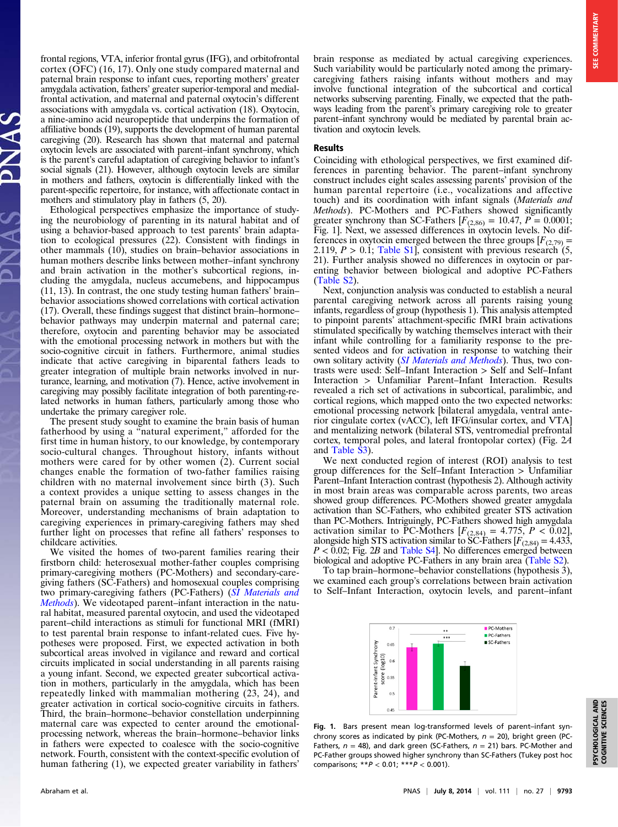frontal regions, VTA, inferior frontal gyrus (IFG), and orbitofrontal cortex (OFC) (16, 17). Only one study compared maternal and paternal brain response to infant cues, reporting mothers' greater amygdala activation, fathers' greater superior-temporal and medialfrontal activation, and maternal and paternal oxytocin's different associations with amygdala vs. cortical activation (18). Oxytocin, a nine-amino acid neuropeptide that underpins the formation of affiliative bonds (19), supports the development of human parental caregiving (20). Research has shown that maternal and paternal oxytocin levels are associated with parent–infant synchrony, which is the parent's careful adaptation of caregiving behavior to infant's social signals (21). However, although oxytocin levels are similar in mothers and fathers, oxytocin is differentially linked with the parent-specific repertoire, for instance, with affectionate contact in mothers and stimulatory play in fathers (5, 20).

Ethological perspectives emphasize the importance of studying the neurobiology of parenting in its natural habitat and of using a behavior-based approach to test parents' brain adaptation to ecological pressures (22). Consistent with findings in other mammals (10), studies on brain–behavior associations in human mothers describe links between mother–infant synchrony and brain activation in the mother's subcortical regions, including the amygdala, nucleus accumebens, and hippocampus (11, 13). In contrast, the one study testing human fathers' brain– behavior associations showed correlations with cortical activation (17). Overall, these findings suggest that distinct brain–hormone– behavior pathways may underpin maternal and paternal care; therefore, oxytocin and parenting behavior may be associated with the emotional processing network in mothers but with the socio-cognitive circuit in fathers. Furthermore, animal studies indicate that active caregiving in biparental fathers leads to greater integration of multiple brain networks involved in nurturance, learning, and motivation (7). Hence, active involvement in caregiving may possibly facilitate integration of both parenting-related networks in human fathers, particularly among those who undertake the primary caregiver role.

The present study sought to examine the brain basis of human fatherhood by using a "natural experiment," afforded for the first time in human history, to our knowledge, by contemporary socio-cultural changes. Throughout history, infants without mothers were cared for by other women (2). Current social changes enable the formation of two-father families raising children with no maternal involvement since birth (3). Such a context provides a unique setting to assess changes in the paternal brain on assuming the traditionally maternal role. Moreover, understanding mechanisms of brain adaptation to caregiving experiences in primary-caregiving fathers may shed further light on processes that refine all fathers' responses to childcare activities.

We visited the homes of two-parent families rearing their firstborn child: heterosexual mother-father couples comprising primary-caregiving mothers (PC-Mothers) and secondary-caregiving fathers (SC-Fathers) and homosexual couples comprising two primary-caregiving fathers (PC-Fathers) ([SI Materials and](http://www.pnas.org/lookup/suppl/doi:10.1073/pnas.1402569111/-/DCSupplemental/pnas.201402569SI.pdf?targetid=nameddest=STXT) [Methods](http://www.pnas.org/lookup/suppl/doi:10.1073/pnas.1402569111/-/DCSupplemental/pnas.201402569SI.pdf?targetid=nameddest=STXT)). We videotaped parent–infant interaction in the natural habitat, measured parental oxytocin, and used the videotaped parent–child interactions as stimuli for functional MRI (fMRI) to test parental brain response to infant-related cues. Five hypotheses were proposed. First, we expected activation in both subcortical areas involved in vigilance and reward and cortical circuits implicated in social understanding in all parents raising a young infant. Second, we expected greater subcortical activation in mothers, particularly in the amygdala, which has been repeatedly linked with mammalian mothering (23, 24), and greater activation in cortical socio-cognitive circuits in fathers. Third, the brain–hormone–behavior constellation underpinning maternal care was expected to center around the emotionalprocessing network, whereas the brain–hormone–behavior links in fathers were expected to coalesce with the socio-cognitive network. Fourth, consistent with the context-specific evolution of human fathering (1), we expected greater variability in fathers'

brain response as mediated by actual caregiving experiences. Such variability would be particularly noted among the primarycaregiving fathers raising infants without mothers and may involve functional integration of the subcortical and cortical networks subserving parenting. Finally, we expected that the pathways leading from the parent's primary caregiving role to greater parent–infant synchrony would be mediated by parental brain activation and oxytocin levels.

#### Results

Coinciding with ethological perspectives, we first examined differences in parenting behavior. The parent–infant synchrony construct includes eight scales assessing parents' provision of the human parental repertoire (i.e., vocalizations and affective touch) and its coordination with infant signals (Materials and Methods). PC-Mothers and PC-Fathers showed significantly greater synchrony than SC-Fathers  $[F_{(2,86)} = 10.47, P = 0.0001;$ Fig. 1]. Next, we assessed differences in oxytocin levels. No differences in oxytocin emerged between the three groups  $[F<sub>(2,79)</sub>]$ 2.119,  $P > 0.1$ ; [Table S1](http://www.pnas.org/lookup/suppl/doi:10.1073/pnas.1402569111/-/DCSupplemental/pnas.201402569SI.pdf?targetid=nameddest=ST1)], consistent with previous research (5, 21). Further analysis showed no differences in oxytocin or parenting behavior between biological and adoptive PC-Fathers [\(Table S2](http://www.pnas.org/lookup/suppl/doi:10.1073/pnas.1402569111/-/DCSupplemental/pnas.201402569SI.pdf?targetid=nameddest=ST2)).

Next, conjunction analysis was conducted to establish a neural parental caregiving network across all parents raising young infants, regardless of group (hypothesis 1). This analysis attempted to pinpoint parents' attachment-specific fMRI brain activations stimulated specifically by watching themselves interact with their infant while controlling for a familiarity response to the presented videos and for activation in response to watching their own solitary activity ([SI Materials and Methods](http://www.pnas.org/lookup/suppl/doi:10.1073/pnas.1402569111/-/DCSupplemental/pnas.201402569SI.pdf?targetid=nameddest=STXT)). Thus, two contrasts were used: Self–Infant Interaction > Self and Self–Infant Interaction > Unfamiliar Parent–Infant Interaction. Results revealed a rich set of activations in subcortical, paralimbic, and cortical regions, which mapped onto the two expected networks: emotional processing network [bilateral amygdala, ventral anterior cingulate cortex (vACC), left IFG/insular cortex, and VTA] and mentalizing network (bilateral STS, ventromedial prefrontal cortex, temporal poles, and lateral frontopolar cortex) (Fig. 2A and [Table S3\)](http://www.pnas.org/lookup/suppl/doi:10.1073/pnas.1402569111/-/DCSupplemental/pnas.201402569SI.pdf?targetid=nameddest=ST3).

We next conducted region of interest (ROI) analysis to test group differences for the Self–Infant Interaction > Unfamiliar Parent–Infant Interaction contrast (hypothesis 2). Although activity in most brain areas was comparable across parents, two areas showed group differences. PC-Mothers showed greater amygdala activation than SC-Fathers, who exhibited greater STS activation than PC-Mothers. Intriguingly, PC-Fathers showed high amygdala activation similar to PC-Mothers  $[F_{(2,84)} = 4.775, P < 0.02]$ , alongside high STS activation similar to SC-Fathers  $[F_{(2,84)}] = 4.433$ ,  $P < 0.02$ ; Fig. 2B and [Table S4](http://www.pnas.org/lookup/suppl/doi:10.1073/pnas.1402569111/-/DCSupplemental/pnas.201402569SI.pdf?targetid=nameddest=ST4)]. No differences emerged between biological and adoptive PC-Fathers in any brain area [\(Table S2](http://www.pnas.org/lookup/suppl/doi:10.1073/pnas.1402569111/-/DCSupplemental/pnas.201402569SI.pdf?targetid=nameddest=ST2)).

To tap brain–hormone–behavior constellations (hypothesis 3), we examined each group's correlations between brain activation to Self–Infant Interaction, oxytocin levels, and parent–infant



Fig. 1. Bars present mean log-transformed levels of parent–infant synchrony scores as indicated by pink (PC-Mothers,  $n = 20$ ), bright green (PC-Fathers,  $n = 48$ ), and dark green (SC-Fathers,  $n = 21$ ) bars. PC-Mother and PC-Father groups showed higher synchrony than SC-Fathers (Tukey post hoc comparisons; \*\*P < 0.01; \*\*\*P < 0.001).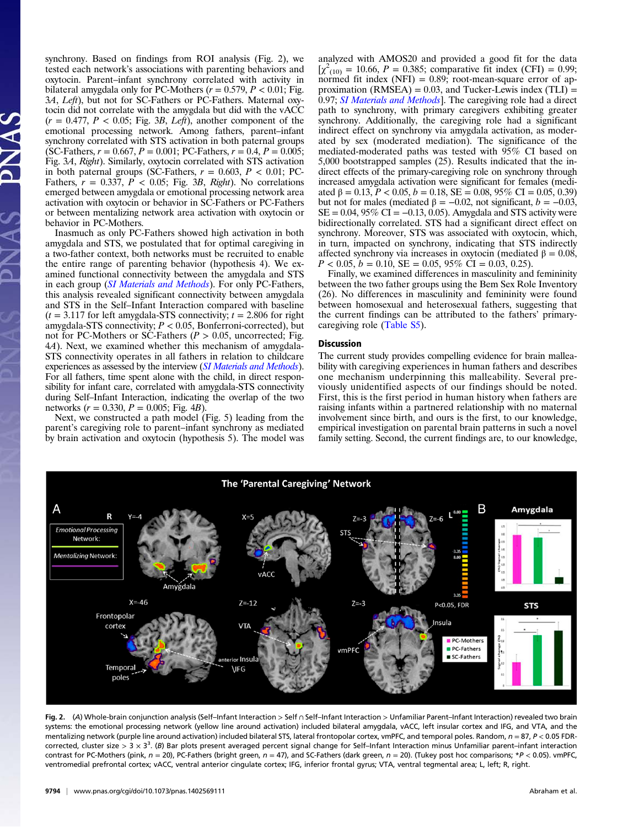synchrony. Based on findings from ROI analysis (Fig. 2), we tested each network's associations with parenting behaviors and oxytocin. Parent–infant synchrony correlated with activity in bilateral amygdala only for PC-Mothers ( $r = 0.579$ ,  $P < 0.01$ ; Fig. 3A, Left), but not for SC-Fathers or PC-Fathers. Maternal oxytocin did not correlate with the amygdala but did with the vACC  $(r = 0.477, P < 0.05;$  Fig. 3B, Left), another component of the emotional processing network. Among fathers, parent–infant synchrony correlated with STS activation in both paternal groups (SC-Fathers,  $r = 0.667$ ,  $P = 0.001$ ; PC-Fathers,  $r = 0.4$ ,  $P = 0.005$ ; Fig. 3A, Right). Similarly, oxytocin correlated with STS activation in both paternal groups (SC-Fathers,  $r = 0.603$ ,  $P < 0.01$ ; PC-Fathers,  $r = 0.337$ ,  $P < 0.05$ ; Fig. 3B, Right). No correlations emerged between amygdala or emotional processing network area activation with oxytocin or behavior in SC-Fathers or PC-Fathers or between mentalizing network area activation with oxytocin or behavior in PC-Mothers.

Inasmuch as only PC-Fathers showed high activation in both amygdala and STS, we postulated that for optimal caregiving in a two-father context, both networks must be recruited to enable the entire range of parenting behavior (hypothesis 4). We examined functional connectivity between the amygdala and STS in each group ([SI Materials and Methods](http://www.pnas.org/lookup/suppl/doi:10.1073/pnas.1402569111/-/DCSupplemental/pnas.201402569SI.pdf?targetid=nameddest=STXT)). For only PC-Fathers, this analysis revealed significant connectivity between amygdala and STS in the Self–Infant Interaction compared with baseline  $(t = 3.117$  for left amygdala-STS connectivity;  $t = 2.806$  for right amygdala-STS connectivity;  $P < 0.05$ , Bonferroni-corrected), but not for PC-Mothers or SC-Fathers ( $P > 0.05$ , uncorrected; Fig. 4A). Next, we examined whether this mechanism of amygdala-STS connectivity operates in all fathers in relation to childcare experiences as assessed by the interview ([SI Materials and Methods](http://www.pnas.org/lookup/suppl/doi:10.1073/pnas.1402569111/-/DCSupplemental/pnas.201402569SI.pdf?targetid=nameddest=STXT)). For all fathers, time spent alone with the child, in direct responsibility for infant care, correlated with amygdala-STS connectivity during Self–Infant Interaction, indicating the overlap of the two networks ( $r = 0.330$ ,  $P = 0.005$ ; Fig. 4B).

Next, we constructed a path model (Fig. 5) leading from the parent's caregiving role to parent–infant synchrony as mediated by brain activation and oxytocin (hypothesis 5). The model was analyzed with AMOS20 and provided a good fit for the data  $[\chi^2]_{(10)} = 10.66, P = 0.385$ ; comparative fit index (CFI) = 0.99; normed fit index  $(NFI) = 0.89$ ; root-mean-square error of approximation  $(RMSEA) = 0.03$ , and Tucker-Lewis index  $(TLI) =$ 0.97; [SI Materials and Methods](http://www.pnas.org/lookup/suppl/doi:10.1073/pnas.1402569111/-/DCSupplemental/pnas.201402569SI.pdf?targetid=nameddest=STXT)]. The caregiving role had a direct path to synchrony, with primary caregivers exhibiting greater synchrony. Additionally, the caregiving role had a significant indirect effect on synchrony via amygdala activation, as moderated by sex (moderated mediation). The significance of the mediated-moderated paths was tested with 95% CI based on 5,000 bootstrapped samples (25). Results indicated that the indirect effects of the primary-caregiving role on synchrony through increased amygdala activation were significant for females (mediated β = 0.13,  $P < 0.05$ ,  $b = 0.18$ ,  $SE = 0.08$ ,  $95\%$  CI = 0.05, 0.39) but not for males (mediated β = -0.02, not significant,  $b = -0.03$ ,  $SE = 0.04$ , 95% CI = -0.13, 0.05). Amygdala and STS activity were bidirectionally correlated. STS had a significant direct effect on synchrony. Moreover, STS was associated with oxytocin, which, in turn, impacted on synchrony, indicating that STS indirectly affected synchrony via increases in oxytocin (mediated β =  $0.08$ ,  $P < 0.05, b = 0.10, SE = 0.05, 95\% \text{ CI} = 0.03, 0.25.$ 

Finally, we examined differences in masculinity and femininity between the two father groups using the Bem Sex Role Inventory (26). No differences in masculinity and femininity were found between homosexual and heterosexual fathers, suggesting that the current findings can be attributed to the fathers' primarycaregiving role [\(Table S5](http://www.pnas.org/lookup/suppl/doi:10.1073/pnas.1402569111/-/DCSupplemental/pnas.201402569SI.pdf?targetid=nameddest=ST5)).

### Discussion

The current study provides compelling evidence for brain malleability with caregiving experiences in human fathers and describes one mechanism underpinning this malleability. Several previously unidentified aspects of our findings should be noted. First, this is the first period in human history when fathers are raising infants within a partnered relationship with no maternal involvement since birth, and ours is the first, to our knowledge, empirical investigation on parental brain patterns in such a novel family setting. Second, the current findings are, to our knowledge,



Fig. 2. (A) Whole-brain conjunction analysis (Self–Infant Interaction > Self ∩ Self–Infant Interaction > Unfamiliar Parent–Infant Interaction) revealed two brain systems: the emotional processing network (yellow line around activation) included bilateral amygdala, vACC, left insular cortex and IFG, and VTA, and the mentalizing network (purple line around activation) included bilateral STS, lateral frontopolar cortex, vmPFC, and temporal poles. Random,  $n = 87$ ,  $P < 0.05$  FDRcorrected, cluster size > 3 x 3<sup>3</sup>. (B) Bar plots present averaged percent signal change for Self–Infant Interaction minus Unfamiliar parent–infant interaction contrast for PC-Mothers (pink,  $n = 20$ ), PC-Fathers (bright green,  $n = 47$ ), and SC-Fathers (dark green,  $n = 20$ ). (Tukey post hoc comparisons; \*P < 0.05). vmPFC, ventromedial prefrontal cortex; vACC, ventral anterior cingulate cortex; IFG, inferior frontal gyrus; VTA, ventral tegmental area; L, left; R, right.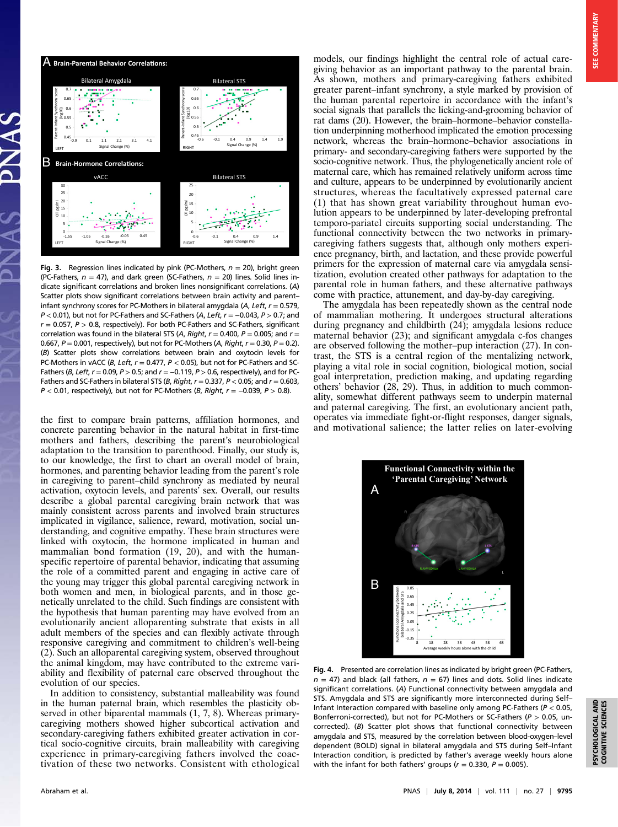

Fig. 3. Regression lines indicated by pink (PC-Mothers,  $n = 20$ ), bright green (PC-Fathers,  $n = 47$ ), and dark green (SC-Fathers,  $n = 20$ ) lines. Solid lines indicate significant correlations and broken lines nonsignificant correlations. (A) Scatter plots show significant correlations between brain activity and parent– infant synchrony scores for PC-Mothers in bilateral amygdala (A, Left,  $r = 0.579$ ,  $P < 0.01$ ), but not for PC-Fathers and SC-Fathers (A, Left,  $r = -0.043$ ,  $P > 0.7$ ; and  $r = 0.057$ ,  $P > 0.8$ , respectively). For both PC-Fathers and SC-Fathers, significant correlation was found in the bilateral STS (A, Right,  $r = 0.400$ ,  $P = 0.005$ ; and  $r =$ 0.667,  $P = 0.001$ , respectively), but not for PC-Mothers (A, Right,  $r = 0.30$ ,  $P = 0.2$ ). (B) Scatter plots show correlations between brain and oxytocin levels for PC-Mothers in vACC (B, Left,  $r = 0.477$ ,  $P < 0.05$ ), but not for PC-Fathers and SC-Fathers (B, Left,  $r = 0.09$ ,  $P > 0.5$ ; and  $r = -0.119$ ,  $P > 0.6$ , respectively), and for PC-Fathers and SC-Fathers in bilateral STS (B, Right,  $r = 0.337$ ,  $P < 0.05$ ; and  $r = 0.603$ ,  $P < 0.01$ , respectively), but not for PC-Mothers (B, Right,  $r = -0.039$ ,  $P > 0.8$ ).

the first to compare brain patterns, affiliation hormones, and concrete parenting behavior in the natural habitat in first-time mothers and fathers, describing the parent's neurobiological adaptation to the transition to parenthood. Finally, our study is, to our knowledge, the first to chart an overall model of brain, hormones, and parenting behavior leading from the parent's role in caregiving to parent–child synchrony as mediated by neural activation, oxytocin levels, and parents' sex. Overall, our results describe a global parental caregiving brain network that was mainly consistent across parents and involved brain structures implicated in vigilance, salience, reward, motivation, social understanding, and cognitive empathy. These brain structures were linked with oxytocin, the hormone implicated in human and mammalian bond formation (19, 20), and with the humanspecific repertoire of parental behavior, indicating that assuming the role of a committed parent and engaging in active care of the young may trigger this global parental caregiving network in both women and men, in biological parents, and in those genetically unrelated to the child. Such findings are consistent with the hypothesis that human parenting may have evolved from an evolutionarily ancient alloparenting substrate that exists in all adult members of the species and can flexibly activate through responsive caregiving and commitment to children's well-being (2). Such an alloparental caregiving system, observed throughout the animal kingdom, may have contributed to the extreme variability and flexibility of paternal care observed throughout the evolution of our species.

In addition to consistency, substantial malleability was found in the human paternal brain, which resembles the plasticity observed in other biparental mammals (1, 7, 8). Whereas primarycaregiving mothers showed higher subcortical activation and secondary-caregiving fathers exhibited greater activation in cortical socio-cognitive circuits, brain malleability with caregiving experience in primary-caregiving fathers involved the coactivation of these two networks. Consistent with ethological

models, our findings highlight the central role of actual caregiving behavior as an important pathway to the parental brain. As shown, mothers and primary-caregiving fathers exhibited greater parent–infant synchrony, a style marked by provision of the human parental repertoire in accordance with the infant's social signals that parallels the licking-and-grooming behavior of rat dams (20). However, the brain–hormone–behavior constellation underpinning motherhood implicated the emotion processing network, whereas the brain–hormone–behavior associations in primary- and secondary-caregiving fathers were supported by the socio-cognitive network. Thus, the phylogenetically ancient role of maternal care, which has remained relatively uniform across time and culture, appears to be underpinned by evolutionarily ancient structures, whereas the facultatively expressed paternal care (1) that has shown great variability throughout human evolution appears to be underpinned by later-developing prefrontal temporo-pariatel circuits supporting social understanding. The functional connectivity between the two networks in primarycaregiving fathers suggests that, although only mothers experience pregnancy, birth, and lactation, and these provide powerful primers for the expression of maternal care via amygdala sensitization, evolution created other pathways for adaptation to the parental role in human fathers, and these alternative pathways come with practice, attunement, and day-by-day caregiving.

The amygdala has been repeatedly shown as the central node of mammalian mothering. It undergoes structural alterations during pregnancy and childbirth (24); amygdala lesions reduce maternal behavior (23); and significant amygdala c-fos changes are observed following the mother–pup interaction (27). In contrast, the STS is a central region of the mentalizing network, playing a vital role in social cognition, biological motion, social goal interpretation, prediction making, and updating regarding others' behavior (28, 29). Thus, in addition to much commonality, somewhat different pathways seem to underpin maternal and paternal caregiving. The first, an evolutionary ancient path, operates via immediate fight-or-flight responses, danger signals, and motivational salience; the latter relies on later-evolving



Fig. 4. Presented are correlation lines as indicated by bright green (PC-Fathers,  $n = 47$ ) and black (all fathers,  $n = 67$ ) lines and dots. Solid lines indicate significant correlations. (A) Functional connectivity between amygdala and STS. Amygdala and STS are significantly more interconnected during Self– Infant Interaction compared with baseline only among PC-Fathers ( $P < 0.05$ , Bonferroni-corrected), but not for PC-Mothers or SC-Fathers ( $P > 0.05$ , uncorrected). (B) Scatter plot shows that functional connectivity between amygdala and STS, measured by the correlation between blood-oxygen–level dependent (BOLD) signal in bilateral amygdala and STS during Self–Infant Interaction condition, is predicted by father's average weekly hours alone with the infant for both fathers' groups ( $r = 0.330$ ,  $P = 0.005$ ).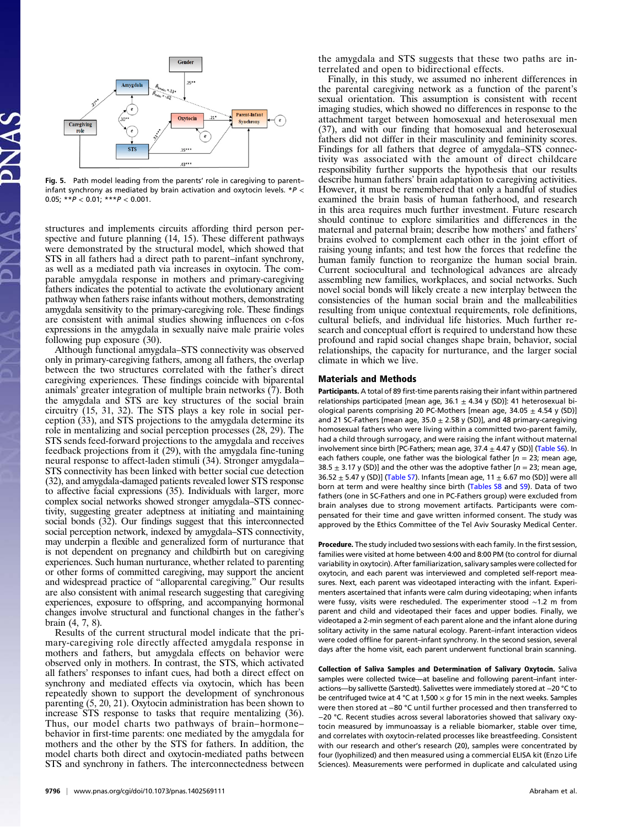

Fig. 5. Path model leading from the parents' role in caregiving to parentinfant synchrony as mediated by brain activation and oxytocin levels.  $*P <$ 0.05; \*\* $P < 0.01$ ; \*\*\* $P < 0.001$ .

structures and implements circuits affording third person perspective and future planning (14, 15). These different pathways were demonstrated by the structural model, which showed that STS in all fathers had a direct path to parent–infant synchrony, as well as a mediated path via increases in oxytocin. The comparable amygdala response in mothers and primary-caregiving fathers indicates the potential to activate the evolutionary ancient pathway when fathers raise infants without mothers, demonstrating amygdala sensitivity to the primary-caregiving role. These findings are consistent with animal studies showing influences on c-fos expressions in the amygdala in sexually naive male prairie voles following pup exposure (30).

Although functional amygdala–STS connectivity was observed only in primary-caregiving fathers, among all fathers, the overlap between the two structures correlated with the father's direct caregiving experiences. These findings coincide with biparental animals' greater integration of multiple brain networks (7). Both the amygdala and STS are key structures of the social brain circuitry (15, 31, 32). The STS plays a key role in social perception (33), and STS projections to the amygdala determine its role in mentalizing and social perception processes (28, 29). The STS sends feed-forward projections to the amygdala and receives feedback projections from it (29), with the amygdala fine-tuning neural response to affect-laden stimuli (34). Stronger amygdala– STS connectivity has been linked with better social cue detection (32), and amygdala-damaged patients revealed lower STS response to affective facial expressions (35). Individuals with larger, more complex social networks showed stronger amygdala–STS connectivity, suggesting greater adeptness at initiating and maintaining social bonds (32). Our findings suggest that this interconnected social perception network, indexed by amygdala–STS connectivity, may underpin a flexible and generalized form of nurturance that is not dependent on pregnancy and childbirth but on caregiving experiences. Such human nurturance, whether related to parenting or other forms of committed caregiving, may support the ancient and widespread practice of "alloparental caregiving." Our results are also consistent with animal research suggesting that caregiving experiences, exposure to offspring, and accompanying hormonal changes involve structural and functional changes in the father's brain (4, 7, 8).

Results of the current structural model indicate that the primary-caregiving role directly affected amygdala response in mothers and fathers, but amygdala effects on behavior were observed only in mothers. In contrast, the STS, which activated all fathers' responses to infant cues, had both a direct effect on synchrony and mediated effects via oxytocin, which has been repeatedly shown to support the development of synchronous parenting (5, 20, 21). Oxytocin administration has been shown to increase STS response to tasks that require mentalizing (36). Thus, our model charts two pathways of brain–hormone– behavior in first-time parents: one mediated by the amygdala for mothers and the other by the STS for fathers. In addition, the model charts both direct and oxytocin-mediated paths between STS and synchrony in fathers. The interconnectedness between

9796 <sup>|</sup> <www.pnas.org/cgi/doi/10.1073/pnas.1402569111> Abraham et al.

the amygdala and STS suggests that these two paths are interrelated and open to bidirectional effects.

Finally, in this study, we assumed no inherent differences in the parental caregiving network as a function of the parent's sexual orientation. This assumption is consistent with recent imaging studies, which showed no differences in response to the attachment target between homosexual and heterosexual men (37), and with our finding that homosexual and heterosexual fathers did not differ in their masculinity and femininity scores. Findings for all fathers that degree of amygdala–STS connectivity was associated with the amount of direct childcare responsibility further supports the hypothesis that our results describe human fathers' brain adaptation to caregiving activities. However, it must be remembered that only a handful of studies examined the brain basis of human fatherhood, and research in this area requires much further investment. Future research should continue to explore similarities and differences in the maternal and paternal brain; describe how mothers' and fathers' brains evolved to complement each other in the joint effort of raising young infants; and test how the forces that redefine the human family function to reorganize the human social brain. Current sociocultural and technological advances are already assembling new families, workplaces, and social networks. Such novel social bonds will likely create a new interplay between the consistencies of the human social brain and the malleabilities resulting from unique contextual requirements, role definitions, cultural beliefs, and individual life histories. Much further research and conceptual effort is required to understand how these profound and rapid social changes shape brain, behavior, social relationships, the capacity for nurturance, and the larger social climate in which we live.

#### Materials and Methods

Participants. A total of 89 first-time parents raising their infant within partnered relationships participated [mean age,  $36.1 \pm 4.34$  y (SD)]: 41 heterosexual biological parents comprising 20 PC-Mothers [mean age, 34.05  $\pm$  4.54 y (SD)] and 21 SC-Fathers [mean age,  $35.0 \pm 2.58$  y (SD)], and 48 primary-caregiving homosexual fathers who were living within a committed two-parent family, had a child through surrogacy, and were raising the infant without maternal involvement since birth [PC-Fathers; mean age,  $37.4 \pm 4.47$  y (SD)] ([Table S6\)](http://www.pnas.org/lookup/suppl/doi:10.1073/pnas.1402569111/-/DCSupplemental/pnas.201402569SI.pdf?targetid=nameddest=ST6). In each fathers couple, one father was the biological father  $[n = 23;$  mean age, 38.5  $\pm$  3.17 y (SD)] and the other was the adoptive father [n = 23; mean age, 36.52  $\pm$  5.47 y (SD)] ([Table S7](http://www.pnas.org/lookup/suppl/doi:10.1073/pnas.1402569111/-/DCSupplemental/pnas.201402569SI.pdf?targetid=nameddest=ST7)). Infants [mean age, 11  $\pm$  6.67 mo (SD)] were all born at term and were healthy since birth ([Tables S8](http://www.pnas.org/lookup/suppl/doi:10.1073/pnas.1402569111/-/DCSupplemental/pnas.201402569SI.pdf?targetid=nameddest=ST8) and [S9\)](http://www.pnas.org/lookup/suppl/doi:10.1073/pnas.1402569111/-/DCSupplemental/pnas.201402569SI.pdf?targetid=nameddest=ST9). Data of two fathers (one in SC-Fathers and one in PC-Fathers group) were excluded from brain analyses due to strong movement artifacts. Participants were compensated for their time and gave written informed consent. The study was approved by the Ethics Committee of the Tel Aviv Sourasky Medical Center.

Procedure. The study included two sessions with each family. In the first session, families were visited at home between 4:00 and 8:00 PM (to control for diurnal variability in oxytocin). After familiarization, salivary samples were collected for oxytocin, and each parent was interviewed and completed self-report measures. Next, each parent was videotaped interacting with the infant. Experimenters ascertained that infants were calm during videotaping; when infants were fussy, visits were rescheduled. The experimenter stood ∼1.2 m from parent and child and videotaped their faces and upper bodies. Finally, we videotaped a 2-min segment of each parent alone and the infant alone during solitary activity in the same natural ecology. Parent–infant interaction videos were coded offline for parent–infant synchrony. In the second session, several days after the home visit, each parent underwent functional brain scanning.

Collection of Saliva Samples and Determination of Salivary Oxytocin. Saliva samples were collected twice—at baseline and following parent–infant interactions—by sallivette (Sarstedt). Salivettes were immediately stored at −20 °C to be centrifuged twice at 4 °C at 1,500  $\times$  g for 15 min in the next weeks. Samples were then stored at −80 °C until further processed and then transferred to −20 °C. Recent studies across several laboratories showed that salivary oxytocin measured by immunoassay is a reliable biomarker, stable over time, and correlates with oxytocin-related processes like breastfeeding. Consistent with our research and other's research (20), samples were concentrated by four (lyophilized) and then measured using a commercial ELISA kit (Enzo Life Sciences). Measurements were performed in duplicate and calculated using